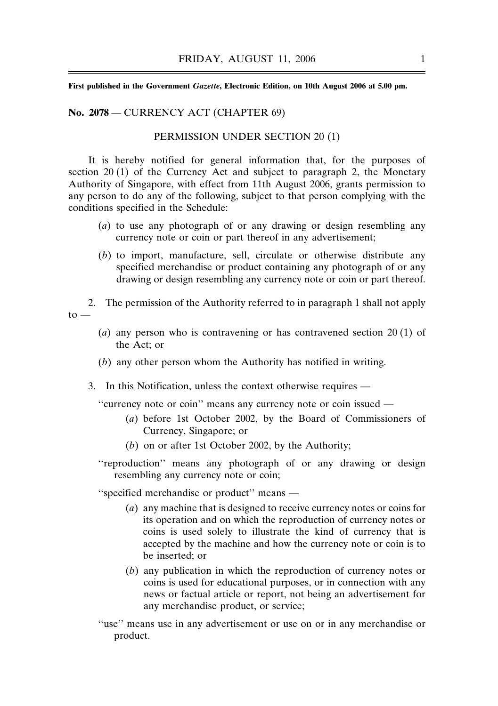**First published in the Government** *Gazette***, Electronic Edition, on 10th August 2006 at 5.00 pm.**

## **No. 2078** — CURRENCY ACT (CHAPTER 69)

## PERMISSION UNDER SECTION 20 (1)

It is hereby notified for general information that, for the purposes of section 20 (1) of the Currency Act and subject to paragraph 2, the Monetary Authority of Singapore, with effect from 11th August 2006, grants permission to any person to do any of the following, subject to that person complying with the conditions specified in the Schedule:

- (*a*) to use any photograph of or any drawing or design resembling any currency note or coin or part thereof in any advertisement;
- (*b*) to import, manufacture, sell, circulate or otherwise distribute any specified merchandise or product containing any photograph of or any drawing or design resembling any currency note or coin or part thereof.
- 2. The permission of the Authority referred to in paragraph 1 shall not apply  $to -$ 
	- (*a*) any person who is contravening or has contravened section 20 (1) of the Act; or
	- (*b*) any other person whom the Authority has notified in writing.
	- 3. In this Notification, unless the context otherwise requires —

''currency note or coin'' means any currency note or coin issued —

- (*a*) before 1st October 2002, by the Board of Commissioners of Currency, Singapore; or
- (*b*) on or after 1st October 2002, by the Authority;
- ''reproduction'' means any photograph of or any drawing or design resembling any currency note or coin;

''specified merchandise or product'' means —

- (*a*) any machine that is designed to receive currency notes or coins for its operation and on which the reproduction of currency notes or coins is used solely to illustrate the kind of currency that is accepted by the machine and how the currency note or coin is to be inserted; or
- (*b*) any publication in which the reproduction of currency notes or coins is used for educational purposes, or in connection with any news or factual article or report, not being an advertisement for any merchandise product, or service;
- ''use'' means use in any advertisement or use on or in any merchandise or product.